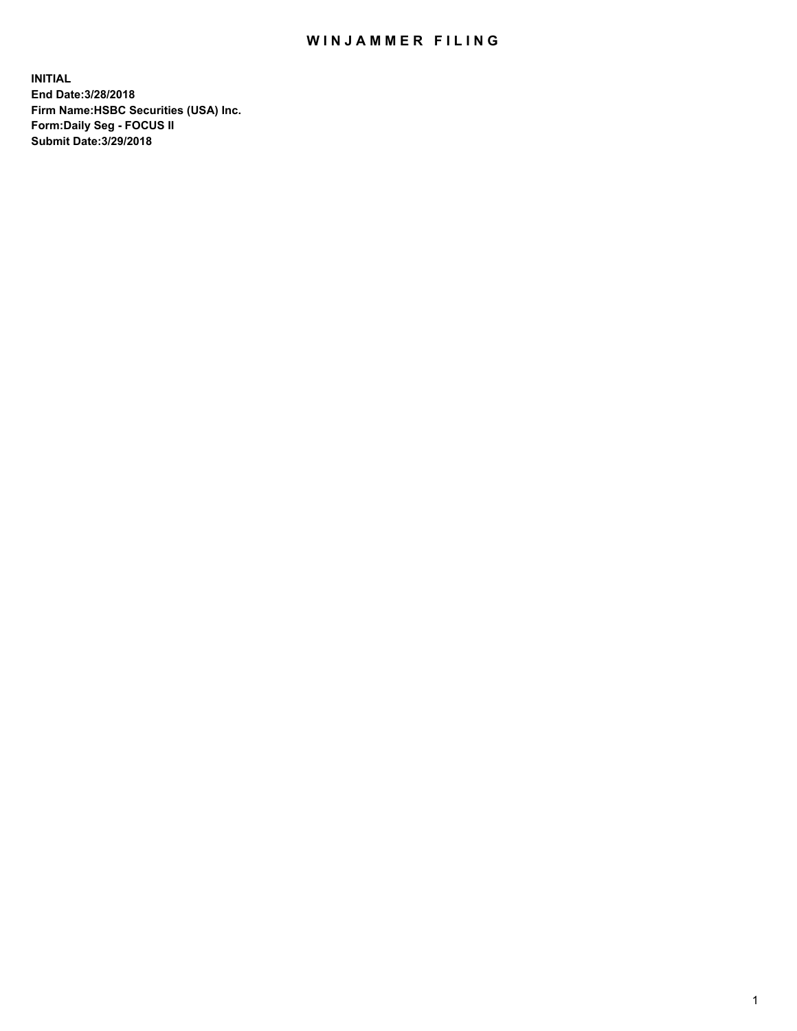## WIN JAMMER FILING

**INITIAL End Date:3/28/2018 Firm Name:HSBC Securities (USA) Inc. Form:Daily Seg - FOCUS II Submit Date:3/29/2018**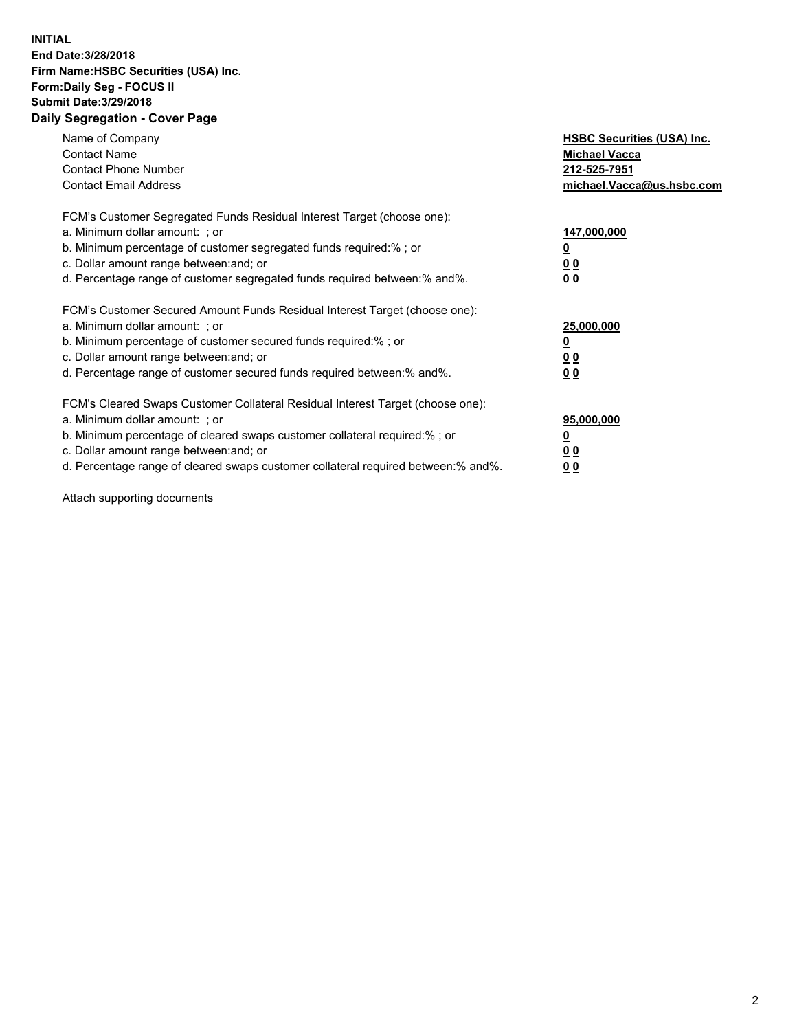## **INITIAL End Date:3/28/2018 Firm Name:HSBC Securities (USA) Inc. Form:Daily Seg - FOCUS II Submit Date:3/29/2018 Daily Segregation - Cover Page**

| Name of Company<br><b>Contact Name</b><br><b>Contact Phone Number</b><br><b>Contact Email Address</b>                                                                                                                                                                                                                         | <b>HSBC Securities (USA) Inc.</b><br><b>Michael Vacca</b><br>212-525-7951<br>michael.Vacca@us.hsbc.com |
|-------------------------------------------------------------------------------------------------------------------------------------------------------------------------------------------------------------------------------------------------------------------------------------------------------------------------------|--------------------------------------------------------------------------------------------------------|
| FCM's Customer Segregated Funds Residual Interest Target (choose one):<br>a. Minimum dollar amount: ; or<br>b. Minimum percentage of customer segregated funds required:%; or<br>c. Dollar amount range between: and; or<br>d. Percentage range of customer segregated funds required between:% and%.                         | 147,000,000<br><u>0</u><br>0 <sub>0</sub><br>0 <sub>0</sub>                                            |
| FCM's Customer Secured Amount Funds Residual Interest Target (choose one):<br>a. Minimum dollar amount: ; or<br>b. Minimum percentage of customer secured funds required:%; or<br>c. Dollar amount range between: and; or<br>d. Percentage range of customer secured funds required between: % and %.                         | 25,000,000<br><u>0</u><br><u>00</u><br>0 <sub>0</sub>                                                  |
| FCM's Cleared Swaps Customer Collateral Residual Interest Target (choose one):<br>a. Minimum dollar amount: ; or<br>b. Minimum percentage of cleared swaps customer collateral required:%; or<br>c. Dollar amount range between: and; or<br>d. Percentage range of cleared swaps customer collateral required between:% and%. | 95,000,000<br>$\overline{\mathbf{0}}$<br>00<br><u>00</u>                                               |

Attach supporting documents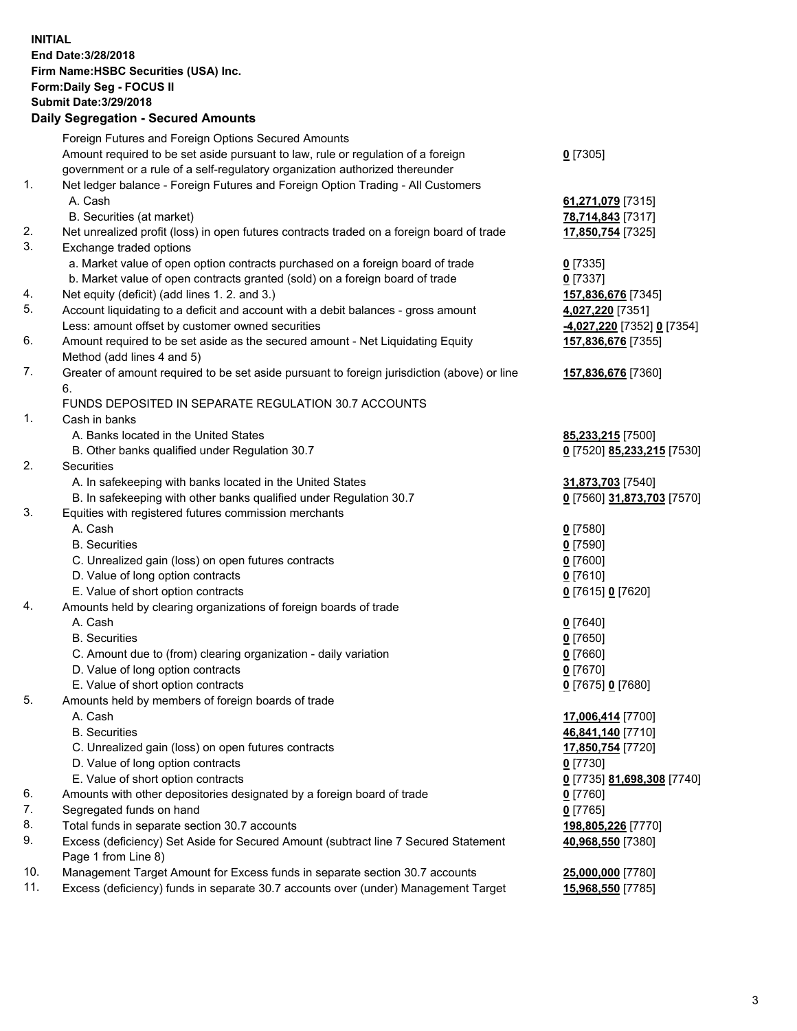**INITIAL End Date:3/28/2018 Firm Name:HSBC Securities (USA) Inc. Form:Daily Seg - FOCUS II Submit Date:3/29/2018 Daily Segregation - Secured Amounts**

| Foreign Futures and Foreign Options Secured Amounts                              |                                                                                                                                                                                                                                                                                                                                                                                                                                                                                                                                                                                                                                                                                                                                                                                                                                                                                                                                                                                                                                                                                                                                                                                                                                                                                                                                                                                                                                                                                                                                                                                                                                                                                                                                                                                                                                                                                                                                                                                                                                                                                                                                                                                                                                                                                                                                                                              |
|----------------------------------------------------------------------------------|------------------------------------------------------------------------------------------------------------------------------------------------------------------------------------------------------------------------------------------------------------------------------------------------------------------------------------------------------------------------------------------------------------------------------------------------------------------------------------------------------------------------------------------------------------------------------------------------------------------------------------------------------------------------------------------------------------------------------------------------------------------------------------------------------------------------------------------------------------------------------------------------------------------------------------------------------------------------------------------------------------------------------------------------------------------------------------------------------------------------------------------------------------------------------------------------------------------------------------------------------------------------------------------------------------------------------------------------------------------------------------------------------------------------------------------------------------------------------------------------------------------------------------------------------------------------------------------------------------------------------------------------------------------------------------------------------------------------------------------------------------------------------------------------------------------------------------------------------------------------------------------------------------------------------------------------------------------------------------------------------------------------------------------------------------------------------------------------------------------------------------------------------------------------------------------------------------------------------------------------------------------------------------------------------------------------------------------------------------------------------|
| Amount required to be set aside pursuant to law, rule or regulation of a foreign | $0$ [7305]                                                                                                                                                                                                                                                                                                                                                                                                                                                                                                                                                                                                                                                                                                                                                                                                                                                                                                                                                                                                                                                                                                                                                                                                                                                                                                                                                                                                                                                                                                                                                                                                                                                                                                                                                                                                                                                                                                                                                                                                                                                                                                                                                                                                                                                                                                                                                                   |
|                                                                                  |                                                                                                                                                                                                                                                                                                                                                                                                                                                                                                                                                                                                                                                                                                                                                                                                                                                                                                                                                                                                                                                                                                                                                                                                                                                                                                                                                                                                                                                                                                                                                                                                                                                                                                                                                                                                                                                                                                                                                                                                                                                                                                                                                                                                                                                                                                                                                                              |
|                                                                                  |                                                                                                                                                                                                                                                                                                                                                                                                                                                                                                                                                                                                                                                                                                                                                                                                                                                                                                                                                                                                                                                                                                                                                                                                                                                                                                                                                                                                                                                                                                                                                                                                                                                                                                                                                                                                                                                                                                                                                                                                                                                                                                                                                                                                                                                                                                                                                                              |
| A. Cash                                                                          | 61,271,079 [7315]                                                                                                                                                                                                                                                                                                                                                                                                                                                                                                                                                                                                                                                                                                                                                                                                                                                                                                                                                                                                                                                                                                                                                                                                                                                                                                                                                                                                                                                                                                                                                                                                                                                                                                                                                                                                                                                                                                                                                                                                                                                                                                                                                                                                                                                                                                                                                            |
|                                                                                  | 78,714,843 [7317]                                                                                                                                                                                                                                                                                                                                                                                                                                                                                                                                                                                                                                                                                                                                                                                                                                                                                                                                                                                                                                                                                                                                                                                                                                                                                                                                                                                                                                                                                                                                                                                                                                                                                                                                                                                                                                                                                                                                                                                                                                                                                                                                                                                                                                                                                                                                                            |
|                                                                                  | 17,850,754 [7325]                                                                                                                                                                                                                                                                                                                                                                                                                                                                                                                                                                                                                                                                                                                                                                                                                                                                                                                                                                                                                                                                                                                                                                                                                                                                                                                                                                                                                                                                                                                                                                                                                                                                                                                                                                                                                                                                                                                                                                                                                                                                                                                                                                                                                                                                                                                                                            |
|                                                                                  |                                                                                                                                                                                                                                                                                                                                                                                                                                                                                                                                                                                                                                                                                                                                                                                                                                                                                                                                                                                                                                                                                                                                                                                                                                                                                                                                                                                                                                                                                                                                                                                                                                                                                                                                                                                                                                                                                                                                                                                                                                                                                                                                                                                                                                                                                                                                                                              |
|                                                                                  | $0$ [7335]                                                                                                                                                                                                                                                                                                                                                                                                                                                                                                                                                                                                                                                                                                                                                                                                                                                                                                                                                                                                                                                                                                                                                                                                                                                                                                                                                                                                                                                                                                                                                                                                                                                                                                                                                                                                                                                                                                                                                                                                                                                                                                                                                                                                                                                                                                                                                                   |
|                                                                                  | $0$ [7337]                                                                                                                                                                                                                                                                                                                                                                                                                                                                                                                                                                                                                                                                                                                                                                                                                                                                                                                                                                                                                                                                                                                                                                                                                                                                                                                                                                                                                                                                                                                                                                                                                                                                                                                                                                                                                                                                                                                                                                                                                                                                                                                                                                                                                                                                                                                                                                   |
|                                                                                  | 157,836,676 [7345]                                                                                                                                                                                                                                                                                                                                                                                                                                                                                                                                                                                                                                                                                                                                                                                                                                                                                                                                                                                                                                                                                                                                                                                                                                                                                                                                                                                                                                                                                                                                                                                                                                                                                                                                                                                                                                                                                                                                                                                                                                                                                                                                                                                                                                                                                                                                                           |
|                                                                                  | 4,027,220 [7351]                                                                                                                                                                                                                                                                                                                                                                                                                                                                                                                                                                                                                                                                                                                                                                                                                                                                                                                                                                                                                                                                                                                                                                                                                                                                                                                                                                                                                                                                                                                                                                                                                                                                                                                                                                                                                                                                                                                                                                                                                                                                                                                                                                                                                                                                                                                                                             |
|                                                                                  | <u>-4,027,220</u> [7352] 0 [7354]                                                                                                                                                                                                                                                                                                                                                                                                                                                                                                                                                                                                                                                                                                                                                                                                                                                                                                                                                                                                                                                                                                                                                                                                                                                                                                                                                                                                                                                                                                                                                                                                                                                                                                                                                                                                                                                                                                                                                                                                                                                                                                                                                                                                                                                                                                                                            |
|                                                                                  | 157,836,676 [7355]                                                                                                                                                                                                                                                                                                                                                                                                                                                                                                                                                                                                                                                                                                                                                                                                                                                                                                                                                                                                                                                                                                                                                                                                                                                                                                                                                                                                                                                                                                                                                                                                                                                                                                                                                                                                                                                                                                                                                                                                                                                                                                                                                                                                                                                                                                                                                           |
|                                                                                  |                                                                                                                                                                                                                                                                                                                                                                                                                                                                                                                                                                                                                                                                                                                                                                                                                                                                                                                                                                                                                                                                                                                                                                                                                                                                                                                                                                                                                                                                                                                                                                                                                                                                                                                                                                                                                                                                                                                                                                                                                                                                                                                                                                                                                                                                                                                                                                              |
|                                                                                  | 157,836,676 [7360]                                                                                                                                                                                                                                                                                                                                                                                                                                                                                                                                                                                                                                                                                                                                                                                                                                                                                                                                                                                                                                                                                                                                                                                                                                                                                                                                                                                                                                                                                                                                                                                                                                                                                                                                                                                                                                                                                                                                                                                                                                                                                                                                                                                                                                                                                                                                                           |
| 6.                                                                               |                                                                                                                                                                                                                                                                                                                                                                                                                                                                                                                                                                                                                                                                                                                                                                                                                                                                                                                                                                                                                                                                                                                                                                                                                                                                                                                                                                                                                                                                                                                                                                                                                                                                                                                                                                                                                                                                                                                                                                                                                                                                                                                                                                                                                                                                                                                                                                              |
|                                                                                  |                                                                                                                                                                                                                                                                                                                                                                                                                                                                                                                                                                                                                                                                                                                                                                                                                                                                                                                                                                                                                                                                                                                                                                                                                                                                                                                                                                                                                                                                                                                                                                                                                                                                                                                                                                                                                                                                                                                                                                                                                                                                                                                                                                                                                                                                                                                                                                              |
|                                                                                  |                                                                                                                                                                                                                                                                                                                                                                                                                                                                                                                                                                                                                                                                                                                                                                                                                                                                                                                                                                                                                                                                                                                                                                                                                                                                                                                                                                                                                                                                                                                                                                                                                                                                                                                                                                                                                                                                                                                                                                                                                                                                                                                                                                                                                                                                                                                                                                              |
|                                                                                  | 85,233,215 [7500]                                                                                                                                                                                                                                                                                                                                                                                                                                                                                                                                                                                                                                                                                                                                                                                                                                                                                                                                                                                                                                                                                                                                                                                                                                                                                                                                                                                                                                                                                                                                                                                                                                                                                                                                                                                                                                                                                                                                                                                                                                                                                                                                                                                                                                                                                                                                                            |
|                                                                                  | 0 [7520] 85,233,215 [7530]                                                                                                                                                                                                                                                                                                                                                                                                                                                                                                                                                                                                                                                                                                                                                                                                                                                                                                                                                                                                                                                                                                                                                                                                                                                                                                                                                                                                                                                                                                                                                                                                                                                                                                                                                                                                                                                                                                                                                                                                                                                                                                                                                                                                                                                                                                                                                   |
|                                                                                  |                                                                                                                                                                                                                                                                                                                                                                                                                                                                                                                                                                                                                                                                                                                                                                                                                                                                                                                                                                                                                                                                                                                                                                                                                                                                                                                                                                                                                                                                                                                                                                                                                                                                                                                                                                                                                                                                                                                                                                                                                                                                                                                                                                                                                                                                                                                                                                              |
|                                                                                  | 31,873,703 [7540]                                                                                                                                                                                                                                                                                                                                                                                                                                                                                                                                                                                                                                                                                                                                                                                                                                                                                                                                                                                                                                                                                                                                                                                                                                                                                                                                                                                                                                                                                                                                                                                                                                                                                                                                                                                                                                                                                                                                                                                                                                                                                                                                                                                                                                                                                                                                                            |
|                                                                                  | 0 [7560] 31,873,703 [7570]                                                                                                                                                                                                                                                                                                                                                                                                                                                                                                                                                                                                                                                                                                                                                                                                                                                                                                                                                                                                                                                                                                                                                                                                                                                                                                                                                                                                                                                                                                                                                                                                                                                                                                                                                                                                                                                                                                                                                                                                                                                                                                                                                                                                                                                                                                                                                   |
|                                                                                  |                                                                                                                                                                                                                                                                                                                                                                                                                                                                                                                                                                                                                                                                                                                                                                                                                                                                                                                                                                                                                                                                                                                                                                                                                                                                                                                                                                                                                                                                                                                                                                                                                                                                                                                                                                                                                                                                                                                                                                                                                                                                                                                                                                                                                                                                                                                                                                              |
|                                                                                  | $0$ [7580]                                                                                                                                                                                                                                                                                                                                                                                                                                                                                                                                                                                                                                                                                                                                                                                                                                                                                                                                                                                                                                                                                                                                                                                                                                                                                                                                                                                                                                                                                                                                                                                                                                                                                                                                                                                                                                                                                                                                                                                                                                                                                                                                                                                                                                                                                                                                                                   |
|                                                                                  | $0$ [7590]                                                                                                                                                                                                                                                                                                                                                                                                                                                                                                                                                                                                                                                                                                                                                                                                                                                                                                                                                                                                                                                                                                                                                                                                                                                                                                                                                                                                                                                                                                                                                                                                                                                                                                                                                                                                                                                                                                                                                                                                                                                                                                                                                                                                                                                                                                                                                                   |
|                                                                                  | $0$ [7600]                                                                                                                                                                                                                                                                                                                                                                                                                                                                                                                                                                                                                                                                                                                                                                                                                                                                                                                                                                                                                                                                                                                                                                                                                                                                                                                                                                                                                                                                                                                                                                                                                                                                                                                                                                                                                                                                                                                                                                                                                                                                                                                                                                                                                                                                                                                                                                   |
|                                                                                  | $0$ [7610]                                                                                                                                                                                                                                                                                                                                                                                                                                                                                                                                                                                                                                                                                                                                                                                                                                                                                                                                                                                                                                                                                                                                                                                                                                                                                                                                                                                                                                                                                                                                                                                                                                                                                                                                                                                                                                                                                                                                                                                                                                                                                                                                                                                                                                                                                                                                                                   |
|                                                                                  | 0 [7615] 0 [7620]                                                                                                                                                                                                                                                                                                                                                                                                                                                                                                                                                                                                                                                                                                                                                                                                                                                                                                                                                                                                                                                                                                                                                                                                                                                                                                                                                                                                                                                                                                                                                                                                                                                                                                                                                                                                                                                                                                                                                                                                                                                                                                                                                                                                                                                                                                                                                            |
|                                                                                  |                                                                                                                                                                                                                                                                                                                                                                                                                                                                                                                                                                                                                                                                                                                                                                                                                                                                                                                                                                                                                                                                                                                                                                                                                                                                                                                                                                                                                                                                                                                                                                                                                                                                                                                                                                                                                                                                                                                                                                                                                                                                                                                                                                                                                                                                                                                                                                              |
|                                                                                  | $0$ [7640]                                                                                                                                                                                                                                                                                                                                                                                                                                                                                                                                                                                                                                                                                                                                                                                                                                                                                                                                                                                                                                                                                                                                                                                                                                                                                                                                                                                                                                                                                                                                                                                                                                                                                                                                                                                                                                                                                                                                                                                                                                                                                                                                                                                                                                                                                                                                                                   |
|                                                                                  | $0$ [7650]                                                                                                                                                                                                                                                                                                                                                                                                                                                                                                                                                                                                                                                                                                                                                                                                                                                                                                                                                                                                                                                                                                                                                                                                                                                                                                                                                                                                                                                                                                                                                                                                                                                                                                                                                                                                                                                                                                                                                                                                                                                                                                                                                                                                                                                                                                                                                                   |
|                                                                                  | $0$ [7660]                                                                                                                                                                                                                                                                                                                                                                                                                                                                                                                                                                                                                                                                                                                                                                                                                                                                                                                                                                                                                                                                                                                                                                                                                                                                                                                                                                                                                                                                                                                                                                                                                                                                                                                                                                                                                                                                                                                                                                                                                                                                                                                                                                                                                                                                                                                                                                   |
|                                                                                  | $0$ [7670]                                                                                                                                                                                                                                                                                                                                                                                                                                                                                                                                                                                                                                                                                                                                                                                                                                                                                                                                                                                                                                                                                                                                                                                                                                                                                                                                                                                                                                                                                                                                                                                                                                                                                                                                                                                                                                                                                                                                                                                                                                                                                                                                                                                                                                                                                                                                                                   |
|                                                                                  | 0 [7675] 0 [7680]                                                                                                                                                                                                                                                                                                                                                                                                                                                                                                                                                                                                                                                                                                                                                                                                                                                                                                                                                                                                                                                                                                                                                                                                                                                                                                                                                                                                                                                                                                                                                                                                                                                                                                                                                                                                                                                                                                                                                                                                                                                                                                                                                                                                                                                                                                                                                            |
|                                                                                  |                                                                                                                                                                                                                                                                                                                                                                                                                                                                                                                                                                                                                                                                                                                                                                                                                                                                                                                                                                                                                                                                                                                                                                                                                                                                                                                                                                                                                                                                                                                                                                                                                                                                                                                                                                                                                                                                                                                                                                                                                                                                                                                                                                                                                                                                                                                                                                              |
|                                                                                  | 17,006,414 [7700]                                                                                                                                                                                                                                                                                                                                                                                                                                                                                                                                                                                                                                                                                                                                                                                                                                                                                                                                                                                                                                                                                                                                                                                                                                                                                                                                                                                                                                                                                                                                                                                                                                                                                                                                                                                                                                                                                                                                                                                                                                                                                                                                                                                                                                                                                                                                                            |
|                                                                                  | 46,841,140 [7710]                                                                                                                                                                                                                                                                                                                                                                                                                                                                                                                                                                                                                                                                                                                                                                                                                                                                                                                                                                                                                                                                                                                                                                                                                                                                                                                                                                                                                                                                                                                                                                                                                                                                                                                                                                                                                                                                                                                                                                                                                                                                                                                                                                                                                                                                                                                                                            |
|                                                                                  | 17,850,754 [7720]                                                                                                                                                                                                                                                                                                                                                                                                                                                                                                                                                                                                                                                                                                                                                                                                                                                                                                                                                                                                                                                                                                                                                                                                                                                                                                                                                                                                                                                                                                                                                                                                                                                                                                                                                                                                                                                                                                                                                                                                                                                                                                                                                                                                                                                                                                                                                            |
|                                                                                  | $0$ [7730]                                                                                                                                                                                                                                                                                                                                                                                                                                                                                                                                                                                                                                                                                                                                                                                                                                                                                                                                                                                                                                                                                                                                                                                                                                                                                                                                                                                                                                                                                                                                                                                                                                                                                                                                                                                                                                                                                                                                                                                                                                                                                                                                                                                                                                                                                                                                                                   |
|                                                                                  |                                                                                                                                                                                                                                                                                                                                                                                                                                                                                                                                                                                                                                                                                                                                                                                                                                                                                                                                                                                                                                                                                                                                                                                                                                                                                                                                                                                                                                                                                                                                                                                                                                                                                                                                                                                                                                                                                                                                                                                                                                                                                                                                                                                                                                                                                                                                                                              |
|                                                                                  | 0 [7735] 81,698,308 [7740]                                                                                                                                                                                                                                                                                                                                                                                                                                                                                                                                                                                                                                                                                                                                                                                                                                                                                                                                                                                                                                                                                                                                                                                                                                                                                                                                                                                                                                                                                                                                                                                                                                                                                                                                                                                                                                                                                                                                                                                                                                                                                                                                                                                                                                                                                                                                                   |
|                                                                                  | $0$ [7760]                                                                                                                                                                                                                                                                                                                                                                                                                                                                                                                                                                                                                                                                                                                                                                                                                                                                                                                                                                                                                                                                                                                                                                                                                                                                                                                                                                                                                                                                                                                                                                                                                                                                                                                                                                                                                                                                                                                                                                                                                                                                                                                                                                                                                                                                                                                                                                   |
|                                                                                  | $0$ [7765]                                                                                                                                                                                                                                                                                                                                                                                                                                                                                                                                                                                                                                                                                                                                                                                                                                                                                                                                                                                                                                                                                                                                                                                                                                                                                                                                                                                                                                                                                                                                                                                                                                                                                                                                                                                                                                                                                                                                                                                                                                                                                                                                                                                                                                                                                                                                                                   |
|                                                                                  | 198,805,226 [7770]                                                                                                                                                                                                                                                                                                                                                                                                                                                                                                                                                                                                                                                                                                                                                                                                                                                                                                                                                                                                                                                                                                                                                                                                                                                                                                                                                                                                                                                                                                                                                                                                                                                                                                                                                                                                                                                                                                                                                                                                                                                                                                                                                                                                                                                                                                                                                           |
|                                                                                  | 40,968,550 [7380]                                                                                                                                                                                                                                                                                                                                                                                                                                                                                                                                                                                                                                                                                                                                                                                                                                                                                                                                                                                                                                                                                                                                                                                                                                                                                                                                                                                                                                                                                                                                                                                                                                                                                                                                                                                                                                                                                                                                                                                                                                                                                                                                                                                                                                                                                                                                                            |
|                                                                                  |                                                                                                                                                                                                                                                                                                                                                                                                                                                                                                                                                                                                                                                                                                                                                                                                                                                                                                                                                                                                                                                                                                                                                                                                                                                                                                                                                                                                                                                                                                                                                                                                                                                                                                                                                                                                                                                                                                                                                                                                                                                                                                                                                                                                                                                                                                                                                                              |
|                                                                                  | 25,000,000 [7780]                                                                                                                                                                                                                                                                                                                                                                                                                                                                                                                                                                                                                                                                                                                                                                                                                                                                                                                                                                                                                                                                                                                                                                                                                                                                                                                                                                                                                                                                                                                                                                                                                                                                                                                                                                                                                                                                                                                                                                                                                                                                                                                                                                                                                                                                                                                                                            |
|                                                                                  | 15,968,550 [7785]                                                                                                                                                                                                                                                                                                                                                                                                                                                                                                                                                                                                                                                                                                                                                                                                                                                                                                                                                                                                                                                                                                                                                                                                                                                                                                                                                                                                                                                                                                                                                                                                                                                                                                                                                                                                                                                                                                                                                                                                                                                                                                                                                                                                                                                                                                                                                            |
|                                                                                  | government or a rule of a self-regulatory organization authorized thereunder<br>Net ledger balance - Foreign Futures and Foreign Option Trading - All Customers<br>B. Securities (at market)<br>Net unrealized profit (loss) in open futures contracts traded on a foreign board of trade<br>Exchange traded options<br>a. Market value of open option contracts purchased on a foreign board of trade<br>b. Market value of open contracts granted (sold) on a foreign board of trade<br>Net equity (deficit) (add lines 1.2. and 3.)<br>Account liquidating to a deficit and account with a debit balances - gross amount<br>Less: amount offset by customer owned securities<br>Amount required to be set aside as the secured amount - Net Liquidating Equity<br>Method (add lines 4 and 5)<br>Greater of amount required to be set aside pursuant to foreign jurisdiction (above) or line<br>FUNDS DEPOSITED IN SEPARATE REGULATION 30.7 ACCOUNTS<br>Cash in banks<br>A. Banks located in the United States<br>B. Other banks qualified under Regulation 30.7<br>Securities<br>A. In safekeeping with banks located in the United States<br>B. In safekeeping with other banks qualified under Regulation 30.7<br>Equities with registered futures commission merchants<br>A. Cash<br><b>B.</b> Securities<br>C. Unrealized gain (loss) on open futures contracts<br>D. Value of long option contracts<br>E. Value of short option contracts<br>Amounts held by clearing organizations of foreign boards of trade<br>A. Cash<br><b>B.</b> Securities<br>C. Amount due to (from) clearing organization - daily variation<br>D. Value of long option contracts<br>E. Value of short option contracts<br>Amounts held by members of foreign boards of trade<br>A. Cash<br><b>B.</b> Securities<br>C. Unrealized gain (loss) on open futures contracts<br>D. Value of long option contracts<br>E. Value of short option contracts<br>Amounts with other depositories designated by a foreign board of trade<br>Segregated funds on hand<br>Total funds in separate section 30.7 accounts<br>Excess (deficiency) Set Aside for Secured Amount (subtract line 7 Secured Statement<br>Page 1 from Line 8)<br>Management Target Amount for Excess funds in separate section 30.7 accounts<br>Excess (deficiency) funds in separate 30.7 accounts over (under) Management Target |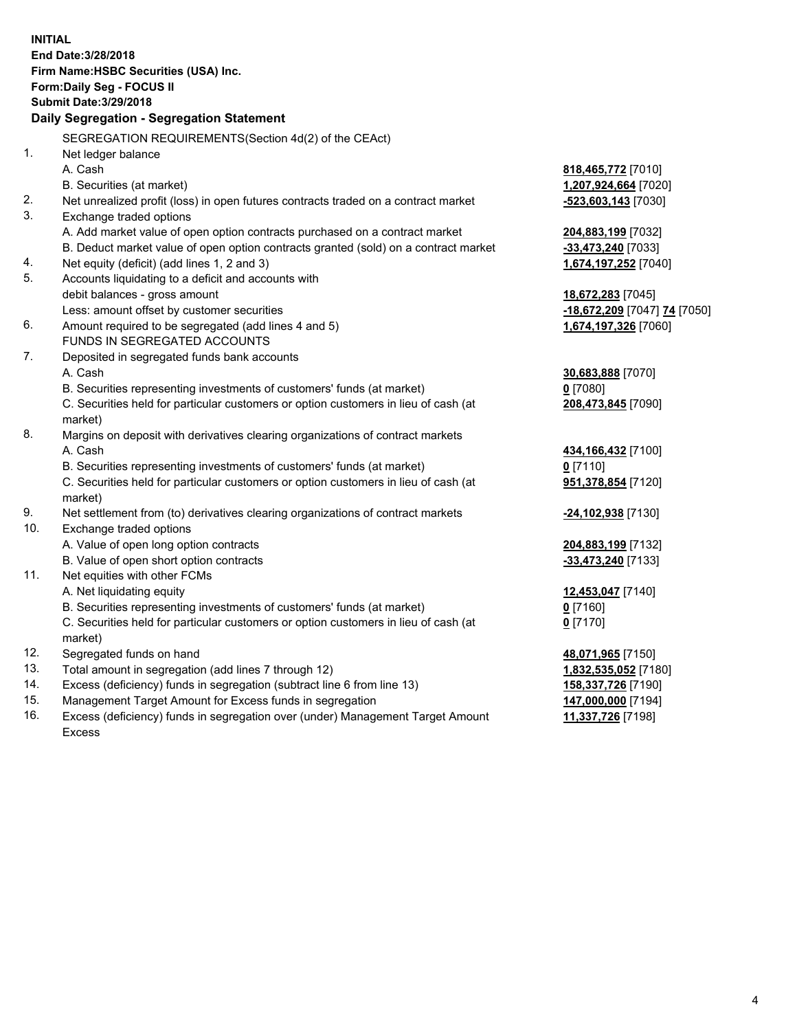| <b>INITIAL</b> | End Date: 3/28/2018<br>Firm Name: HSBC Securities (USA) Inc.<br>Form: Daily Seg - FOCUS II     |                              |
|----------------|------------------------------------------------------------------------------------------------|------------------------------|
|                | <b>Submit Date: 3/29/2018</b>                                                                  |                              |
|                | Daily Segregation - Segregation Statement                                                      |                              |
|                | SEGREGATION REQUIREMENTS(Section 4d(2) of the CEAct)                                           |                              |
| 1.             | Net ledger balance                                                                             |                              |
|                | A. Cash                                                                                        | 818,465,772 [7010]           |
|                | B. Securities (at market)                                                                      | 1,207,924,664 [7020]         |
| 2.             | Net unrealized profit (loss) in open futures contracts traded on a contract market             | -523,603,143 [7030]          |
| 3.             | Exchange traded options                                                                        |                              |
|                | A. Add market value of open option contracts purchased on a contract market                    | 204,883,199 [7032]           |
|                | B. Deduct market value of open option contracts granted (sold) on a contract market            | -33,473,240 [7033]           |
| 4.             | Net equity (deficit) (add lines 1, 2 and 3)                                                    | 1,674,197,252 [7040]         |
| 5.             | Accounts liquidating to a deficit and accounts with                                            |                              |
|                | debit balances - gross amount                                                                  | 18,672,283 [7045]            |
|                | Less: amount offset by customer securities                                                     | -18,672,209 [7047] 74 [7050] |
| 6.             | Amount required to be segregated (add lines 4 and 5)                                           | 1,674,197,326 [7060]         |
|                | FUNDS IN SEGREGATED ACCOUNTS                                                                   |                              |
| 7.             | Deposited in segregated funds bank accounts                                                    |                              |
|                | A. Cash                                                                                        | 30,683,888 [7070]            |
|                | B. Securities representing investments of customers' funds (at market)                         | $0$ [7080]                   |
|                | C. Securities held for particular customers or option customers in lieu of cash (at<br>market) | 208,473,845 [7090]           |
| 8.             | Margins on deposit with derivatives clearing organizations of contract markets                 |                              |
|                | A. Cash                                                                                        | 434, 166, 432 [7100]         |
|                | B. Securities representing investments of customers' funds (at market)                         | $0$ [7110]                   |
|                | C. Securities held for particular customers or option customers in lieu of cash (at<br>market) | 951,378,854 [7120]           |
| 9.             | Net settlement from (to) derivatives clearing organizations of contract markets                | -24,102,938 [7130]           |
| 10.            | Exchange traded options                                                                        |                              |
|                | A. Value of open long option contracts                                                         | 204,883,199 [7132]           |
|                | B. Value of open short option contracts                                                        | -33,473,240 [7133]           |
| 11.            | Net equities with other FCMs                                                                   |                              |
|                | A. Net liquidating equity                                                                      | 12,453,047 [7140]            |
|                | B. Securities representing investments of customers' funds (at market)                         | 0 [7160]                     |
|                | C. Securities held for particular customers or option customers in lieu of cash (at<br>market) | $0$ [7170]                   |
| 12.            | Segregated funds on hand                                                                       | 48,071,965 [7150]            |
| 13.            | Total amount in segregation (add lines 7 through 12)                                           | 1,832,535,052 [7180]         |
| 14.            | Excess (deficiency) funds in segregation (subtract line 6 from line 13)                        | 158,337,726 [7190]           |
| 15.            | Management Target Amount for Excess funds in segregation                                       | 147,000,000 [7194]           |
| 16.            | Excess (deficiency) funds in segregation over (under) Management Target Amount                 | 11,337,726 [7198]            |

Excess